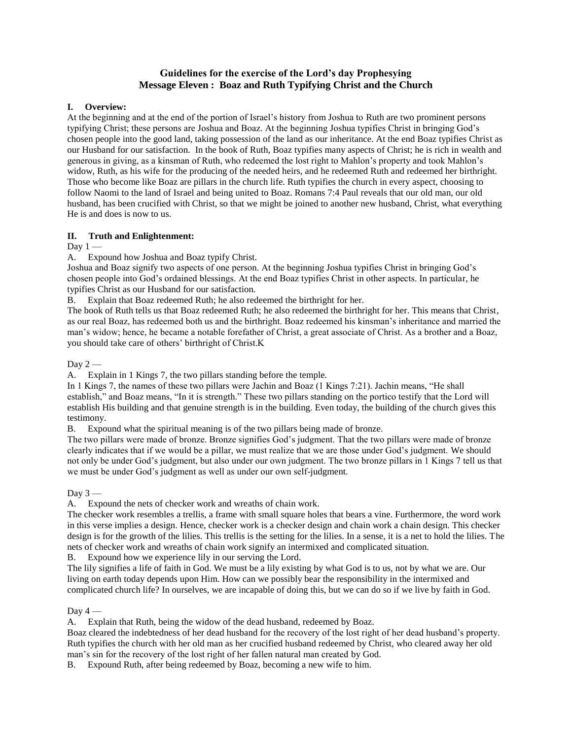## **Guidelines for the exercise of the Lord's day Prophesying Message Eleven : Boaz and Ruth Typifying Christ and the Church**

## **I. Overview:**

At the beginning and at the end of the portion of Israel's history from Joshua to Ruth are two prominent persons typifying Christ; these persons are Joshua and Boaz. At the beginning Joshua typifies Christ in bringing God's chosen people into the good land, taking possession of the land as our inheritance. At the end Boaz typifies Christ as our Husband for our satisfaction. In the book of Ruth, Boaz typifies many aspects of Christ; he is rich in wealth and generous in giving, as a kinsman of Ruth, who redeemed the lost right to Mahlon's property and took Mahlon's widow, Ruth, as his wife for the producing of the needed heirs, and he redeemed Ruth and redeemed her birthright. Those who become like Boaz are pillars in the church life. Ruth typifies the church in every aspect, choosing to follow Naomi to the land of Israel and being united to Boaz. Romans 7:4 Paul reveals that our old man, our old husband, has been crucified with Christ, so that we might be joined to another new husband, Christ, what everything He is and does is now to us.

## **II. Truth and Enlightenment:**

Day  $1 -$ 

A. Expound how Joshua and Boaz typify Christ.

Joshua and Boaz signify two aspects of one person. At the beginning Joshua typifies Christ in bringing God's chosen people into God's ordained blessings. At the end Boaz typifies Christ in other aspects. In particular, he typifies Christ as our Husband for our satisfaction.

B. Explain that Boaz redeemed Ruth; he also redeemed the birthright for her.

The book of Ruth tells us that Boaz redeemed Ruth; he also redeemed the birthright for her. This means that Christ, as our real Boaz, has redeemed both us and the birthright. Boaz redeemed his kinsman's inheritance and married the man's widow; hence, he became a notable forefather of Christ, a great associate of Christ. As a brother and a Boaz, you should take care of others' birthright of Christ.K

Day  $2-$ 

A. Explain in 1 Kings 7, the two pillars standing before the temple.

In 1 Kings 7, the names of these two pillars were Jachin and Boaz (1 Kings 7:21). Jachin means, "He shall establish," and Boaz means, "In it is strength." These two pillars standing on the portico testify that the Lord will establish His building and that genuine strength is in the building. Even today, the building of the church gives this testimony.

B. Expound what the spiritual meaning is of the two pillars being made of bronze.

The two pillars were made of bronze. Bronze signifies God's judgment. That the two pillars were made of bronze clearly indicates that if we would be a pillar, we must realize that we are those under God's judgment. We should not only be under God's judgment, but also under our own judgment. The two bronze pillars in 1 Kings 7 tell us that we must be under God's judgment as well as under our own self-judgment.

Day  $3-$ 

A. Expound the nets of checker work and wreaths of chain work.

The checker work resembles a trellis, a frame with small square holes that bears a vine. Furthermore, the word work in this verse implies a design. Hence, checker work is a checker design and chain work a chain design. This checker design is for the growth of the lilies. This trellis is the setting for the lilies. In a sense, it is a net to hold the lilies. The nets of checker work and wreaths of chain work signify an intermixed and complicated situation.

B. Expound how we experience lily in our serving the Lord.

The lily signifies a life of faith in God. We must be a lily existing by what God is to us, not by what we are. Our living on earth today depends upon Him. How can we possibly bear the responsibility in the intermixed and complicated church life? In ourselves, we are incapable of doing this, but we can do so if we live by faith in God.

Day  $4-$ 

A. Explain that Ruth, being the widow of the dead husband, redeemed by Boaz.

Boaz cleared the indebtedness of her dead husband for the recovery of the lost right of her dead husband's property. Ruth typifies the church with her old man as her crucified husband redeemed by Christ, who cleared away her old man's sin for the recovery of the lost right of her fallen natural man created by God.

B. Expound Ruth, after being redeemed by Boaz, becoming a new wife to him.